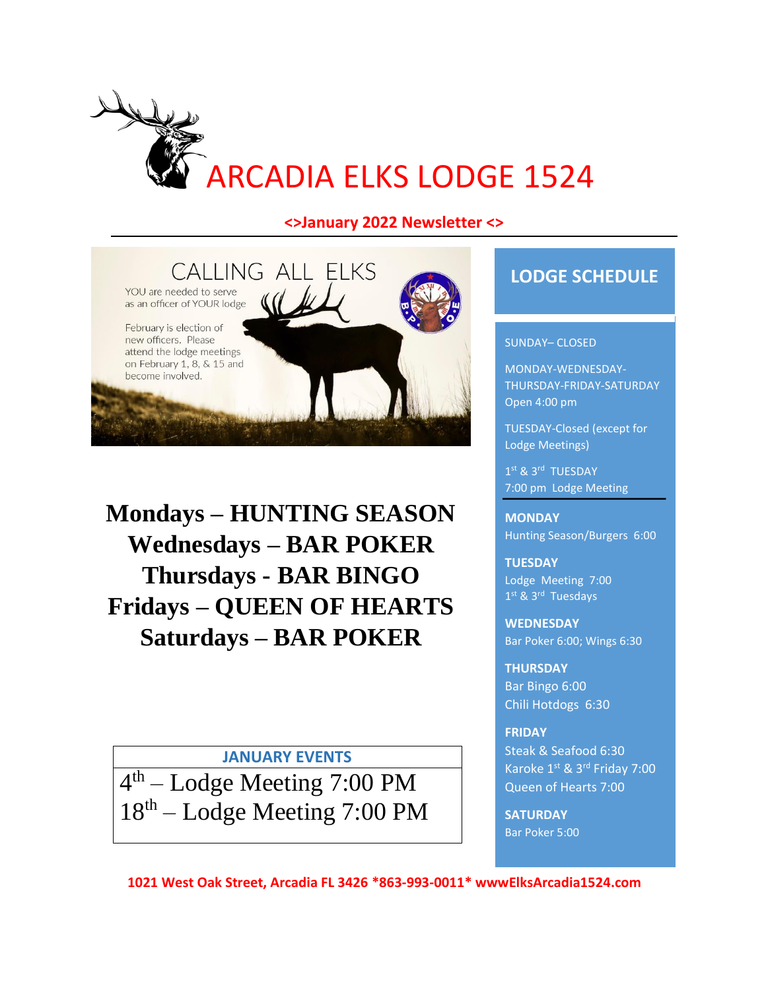

## **<>January 2022 Newsletter <>**



**Mondays – HUNTING SEASON Wednesdays – BAR POKER Thursdays - BAR BINGO Fridays – QUEEN OF HEARTS Saturdays – BAR POKER**

## **JANUARY EVENTS**

4<sup>th</sup> – Lodge Meeting 7:00 PM 18<sup>th</sup> – Lodge Meeting 7:00 PM

## **LODGE SCHEDULE**

#### SUNDAY– CLOSED

MONDAY-WEDNESDAY-THURSDAY-FRIDAY-SATURDAY Open 4:00 pm

TUESDAY-Closed (except for Lodge Meetings)

1st & 3rd TUESDAY 7:00 pm Lodge Meeting

**MONDAY** Hunting Season/Burgers 6:00

**TUESDAY** Lodge Meeting 7:00 1st & 3rd Tuesdays

**WEDNESDAY** Bar Poker 6:00; Wings 6:30

**THURSDAY** Bar Bingo 6:00 Chili Hotdogs 6:30

#### **FRIDAY**

Steak & Seafood 6:30 Karoke 1st & 3rd Friday 7:00 Queen of Hearts 7:00

**SATURDAY**  Bar Poker 5:00

**1021 West Oak Street, Arcadia FL 3426 \*863-993-0011\* wwwElksArcadia1524.com**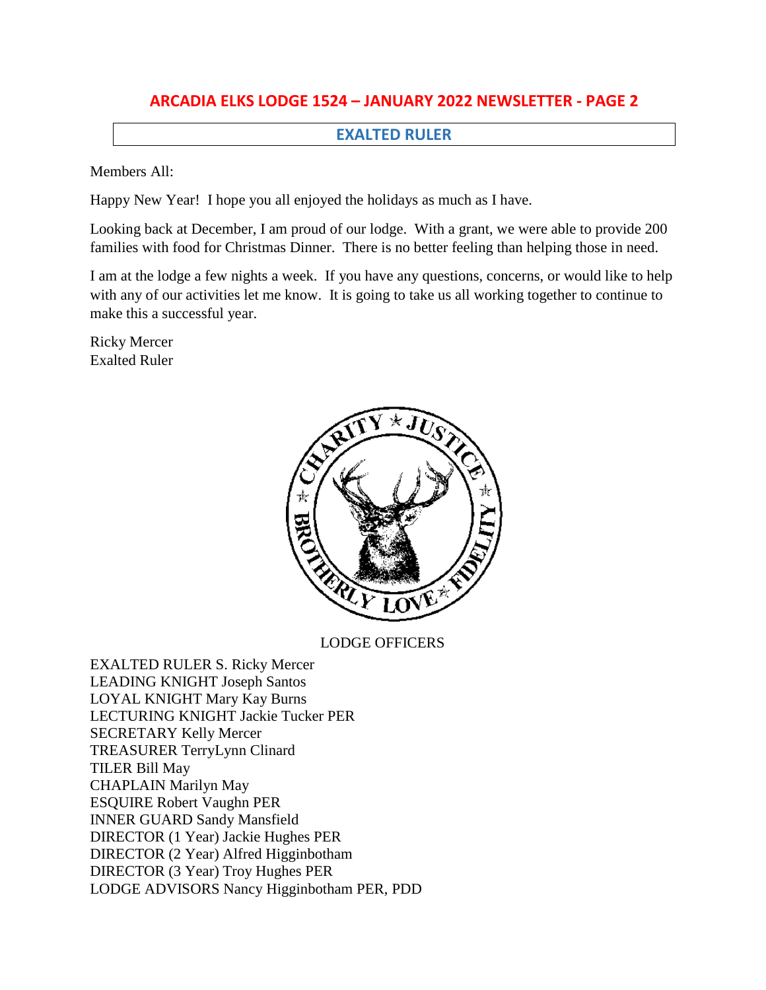### **EXALTED RULER**

Members All:

Happy New Year! I hope you all enjoyed the holidays as much as I have.

Looking back at December, I am proud of our lodge. With a grant, we were able to provide 200 families with food for Christmas Dinner. There is no better feeling than helping those in need.

I am at the lodge a few nights a week. If you have any questions, concerns, or would like to help with any of our activities let me know. It is going to take us all working together to continue to make this a successful year.

Ricky Mercer Exalted Ruler



LODGE OFFICERS

EXALTED RULER S. Ricky Mercer LEADING KNIGHT Joseph Santos LOYAL KNIGHT Mary Kay Burns LECTURING KNIGHT Jackie Tucker PER SECRETARY Kelly Mercer TREASURER TerryLynn Clinard TILER Bill May CHAPLAIN Marilyn May ESQUIRE Robert Vaughn PER INNER GUARD Sandy Mansfield DIRECTOR (1 Year) Jackie Hughes PER DIRECTOR (2 Year) Alfred Higginbotham DIRECTOR (3 Year) Troy Hughes PER LODGE ADVISORS Nancy Higginbotham PER, PDD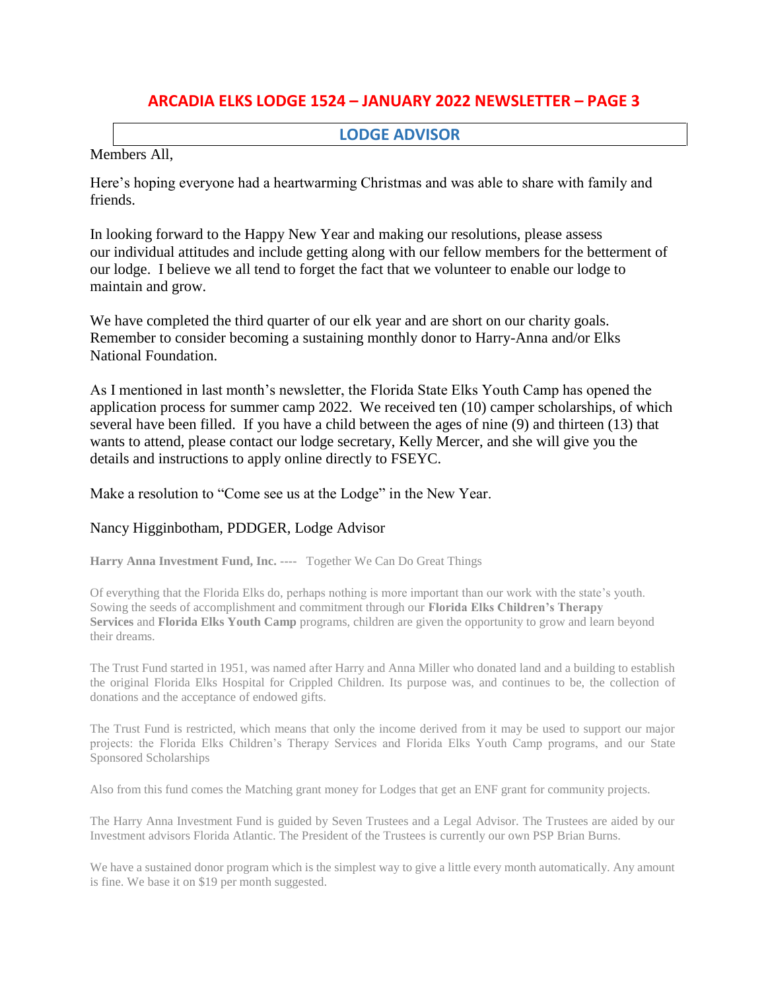### **LODGE ADVISOR**

Members All,

Here's hoping everyone had a heartwarming Christmas and was able to share with family and friends.

In looking forward to the Happy New Year and making our resolutions, please assess our individual attitudes and include getting along with our fellow members for the betterment of our lodge. I believe we all tend to forget the fact that we volunteer to enable our lodge to maintain and grow.

We have completed the third quarter of our elk year and are short on our charity goals. Remember to consider becoming a sustaining monthly donor to Harry-Anna and/or Elks National Foundation.

As I mentioned in last month's newsletter, the Florida State Elks Youth Camp has opened the application process for summer camp 2022. We received ten (10) camper scholarships, of which several have been filled. If you have a child between the ages of nine (9) and thirteen (13) that wants to attend, please contact our lodge secretary, Kelly Mercer, and she will give you the details and instructions to apply online directly to FSEYC.

Make a resolution to "Come see us at the Lodge" in the New Year.

#### Nancy Higginbotham, PDDGER, Lodge Advisor

**Harry Anna Investment Fund, Inc. ----** Together We Can Do Great Things

Of everything that the Florida Elks do, perhaps nothing is more important than our work with the state's youth. Sowing the seeds of accomplishment and commitment through our **Florida Elks Children's Therapy Services** and **Florida Elks Youth Camp** programs, children are given the opportunity to grow and learn beyond their dreams.

The Trust Fund started in 1951, was named after Harry and Anna Miller who donated land and a building to establish the original Florida Elks Hospital for Crippled Children. Its purpose was, and continues to be, the collection of donations and the acceptance of endowed gifts.

The Trust Fund is restricted, which means that only the income derived from it may be used to support our major projects: the Florida Elks Children's Therapy Services and Florida Elks Youth Camp programs, and our State Sponsored Scholarships

Also from this fund comes the Matching grant money for Lodges that get an ENF grant for community projects.

The Harry Anna Investment Fund is guided by Seven Trustees and a Legal Advisor. The Trustees are aided by our Investment advisors Florida Atlantic. The President of the Trustees is currently our own PSP Brian Burns.

We have a sustained donor program which is the simplest way to give a little every month automatically. Any amount is fine. We base it on \$19 per month suggested.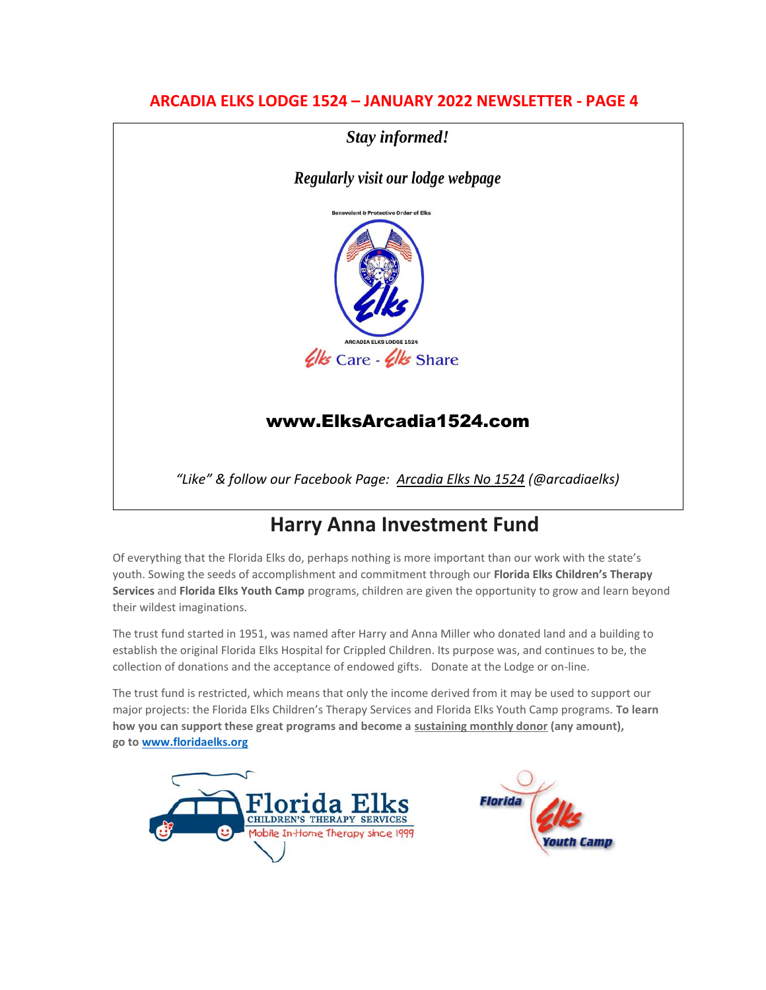*Stay informed!*

*Regularly visit our lodge webpage*



# [www.ElksArcadia1524.com](http://www.elksarcadia1524.com/)

*"Like" & follow our Facebook Page: Arcadia Elks No 1524 (@arcadiaelks)*

# **Harry Anna Investment Fund**

Of everything that the Florida Elks do, perhaps nothing is more important than our work with the state's youth. Sowing the seeds of accomplishment and commitment through our **Florida Elks Children's Therapy Services** and **Florida Elks Youth Camp** programs, children are given the opportunity to grow and learn beyond their wildest imaginations.

The trust fund started in 1951, was named after Harry and Anna Miller who donated land and a building to establish the original Florida Elks Hospital for Crippled Children. Its purpose was, and continues to be, the collection of donations and the acceptance of endowed gifts. Donate at the Lodge or on-line.

The trust fund is restricted, which means that only the income derived from it may be used to support our major projects: the Florida Elks Children's Therapy Services and Florida Elks Youth Camp programs. **To learn how you can support these great programs and become a sustaining monthly donor (any amount), go to [www.floridaelks.org](http://www.floridaelks.org/)** 



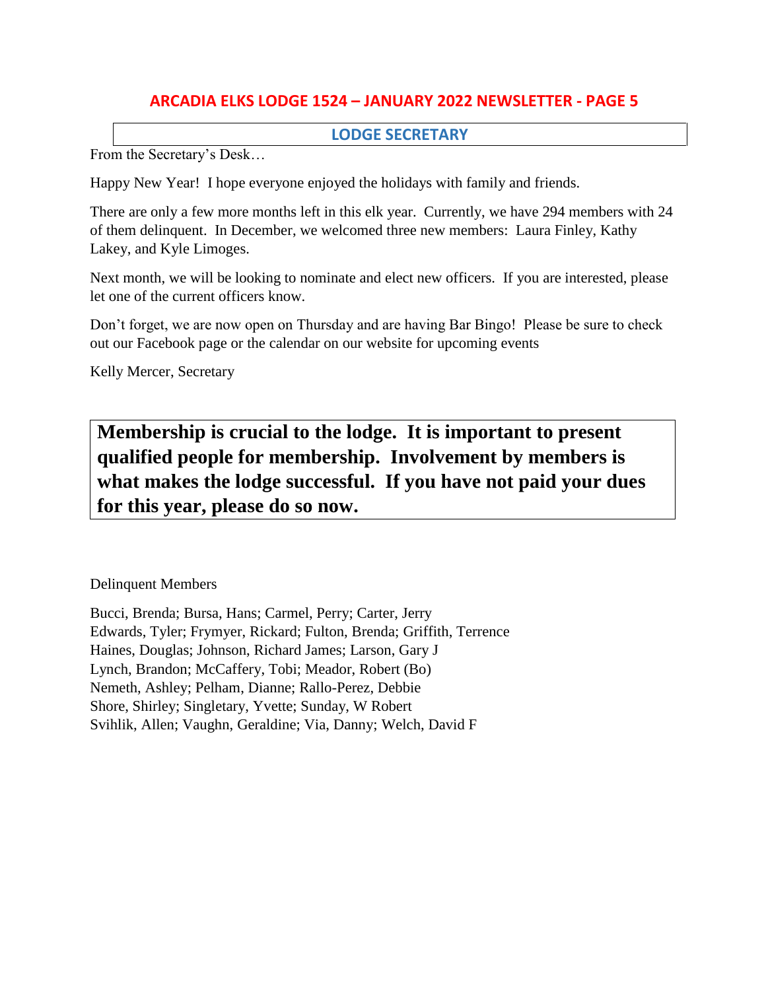### **LODGE SECRETARY**

From the Secretary's Desk…

Happy New Year! I hope everyone enjoyed the holidays with family and friends.

There are only a few more months left in this elk year. Currently, we have 294 members with 24 of them delinquent. In December, we welcomed three new members: Laura Finley, Kathy Lakey, and Kyle Limoges.

Next month, we will be looking to nominate and elect new officers. If you are interested, please let one of the current officers know.

Don't forget, we are now open on Thursday and are having Bar Bingo! Please be sure to check out our Facebook page or the calendar on our website for upcoming events

Kelly Mercer, Secretary

**Membership is crucial to the lodge. It is important to present qualified people for membership. Involvement by members is what makes the lodge successful. If you have not paid your dues for this year, please do so now.**

Delinquent Members

Bucci, Brenda; Bursa, Hans; Carmel, Perry; Carter, Jerry Edwards, Tyler; Frymyer, Rickard; Fulton, Brenda; Griffith, Terrence Haines, Douglas; Johnson, Richard James; Larson, Gary J Lynch, Brandon; McCaffery, Tobi; Meador, Robert (Bo) Nemeth, Ashley; Pelham, Dianne; Rallo-Perez, Debbie Shore, Shirley; Singletary, Yvette; Sunday, W Robert Svihlik, Allen; Vaughn, Geraldine; Via, Danny; Welch, David F